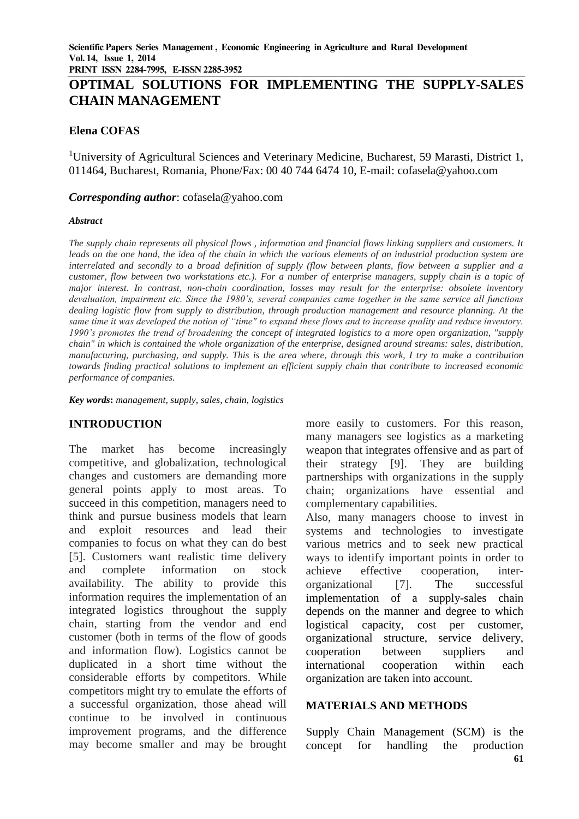**PRINT ISSN 2284-7995, E-ISSN 2285-3952** 

# **OPTIMAL SOLUTIONS FOR IMPLEMENTING THE SUPPLY-SALES CHAIN MANAGEMENT**

### **Elena COFAS**

<sup>1</sup>University of Agricultural Sciences and Veterinary Medicine, Bucharest, 59 Marasti, District 1, 011464, Bucharest, Romania, Phone/Fax: 00 40 744 6474 10, E-mail: cofasela@yahoo.com

#### *Corresponding author*: cofasela@yahoo.com

#### *Abstract*

*The supply chain represents all physical flows , information and financial flows linking suppliers and customers. It leads on the one hand, the idea of the chain in which the various elements of an industrial production system are interrelated and secondly to a broad definition of supply (flow between plants, flow between a supplier and a customer, flow between two workstations etc.). For a number of enterprise managers, supply chain is a topic of major interest. In contrast, non-chain coordination, losses may result for the enterprise: obsolete inventory devaluation, impairment etc. Since the 1980's, several companies came together in the same service all functions dealing logistic flow from supply to distribution, through production management and resource planning. At the same time it was developed the notion of "time" to expand these flows and to increase quality and reduce inventory. 1990's promotes the trend of broadening the concept of integrated logistics to a more open organization, "supply chain" in which is contained the whole organization of the enterprise, designed around streams: sales, distribution, manufacturing, purchasing, and supply. This is the area where, through this work, I try to make a contribution towards finding practical solutions to implement an efficient supply chain that contribute to increased economic performance of companies.*

*Key words***:** *management, supply, sales, chain, logistics*

# **INTRODUCTION**

The market has become increasingly competitive, and globalization, technological changes and customers are demanding more general points apply to most areas. To succeed in this competition, managers need to think and pursue business models that learn and exploit resources and lead their companies to focus on what they can do best [5]. Customers want realistic time delivery and complete information on stock availability. The ability to provide this information requires the implementation of an integrated logistics throughout the supply chain, starting from the vendor and end customer (both in terms of the flow of goods and information flow). Logistics cannot be duplicated in a short time without the considerable efforts by competitors. While competitors might try to emulate the efforts of a successful organization, those ahead will continue to be involved in continuous improvement programs, and the difference may become smaller and may be brought more easily to customers. For this reason, many managers see logistics as a marketing weapon that integrates offensive and as part of their strategy [9]. They are building partnerships with organizations in the supply chain; organizations have essential and complementary capabilities.

Also, many managers choose to invest in systems and technologies to investigate various metrics and to seek new practical ways to identify important points in order to achieve effective cooperation, interorganizational [7]. The successful implementation of a supply-sales chain depends on the manner and degree to which logistical capacity, cost per customer, organizational structure, service delivery, cooperation between suppliers and international cooperation within each organization are taken into account.

#### **MATERIALS AND METHODS**

Supply Chain Management (SCM) is the concept for handling the production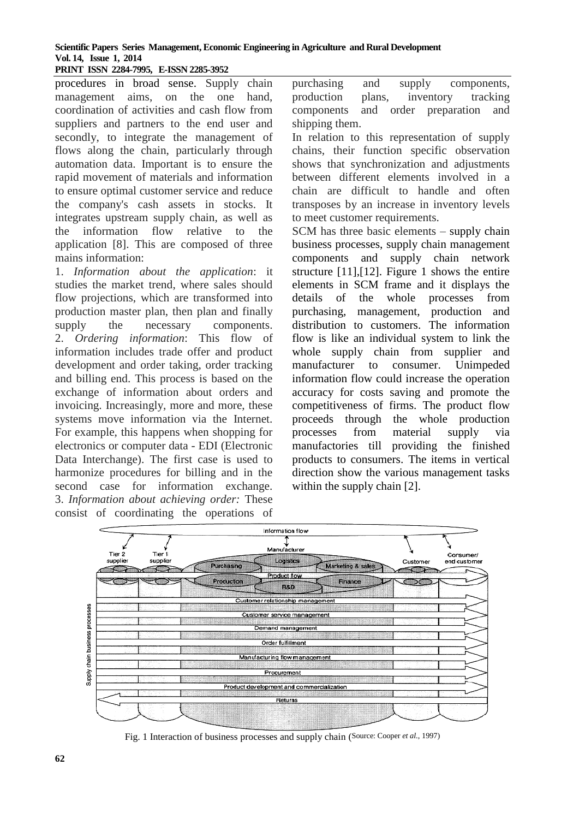#### **Scientific Papers Series Management, Economic Engineering in Agriculture and Rural Development Vol. 14, Issue 1, 2014 PRINT ISSN 2284-7995, E-ISSN 2285-3952**

procedures in broad sense. Supply chain management aims, on the one hand, coordination of activities and cash flow from suppliers and partners to the end user and secondly, to integrate the management of flows along the chain, particularly through automation data. Important is to ensure the rapid movement of materials and information to ensure optimal customer service and reduce the company's cash assets in stocks. It integrates upstream supply chain, as well as the information flow relative to the application [8]. This are composed of three mains information:

1. *Information about the application*: it studies the market trend, where sales should flow projections, which are transformed into production master plan, then plan and finally supply the necessary components. 2. *Ordering information*: This flow of information includes trade offer and product development and order taking, order tracking and billing end. This process is based on the exchange of information about orders and invoicing. Increasingly, more and more, these systems move information via the Internet. For example, this happens when shopping for electronics or computer data - EDI (Electronic Data Interchange). The first case is used to harmonize procedures for billing and in the second case for information exchange. 3. *Information about achieving order:* These consist of coordinating the operations of

purchasing and supply components, production plans, inventory tracking components and order preparation and shipping them.

In relation to this representation of supply chains, their function specific observation shows that synchronization and adjustments between different elements involved in a chain are difficult to handle and often transposes by an increase in inventory levels to meet customer requirements.

SCM has three basic elements – supply chain business processes, supply chain management components and supply chain network structure [11],[12]. Figure 1 shows the entire elements in SCM frame and it displays the details of the whole processes from purchasing, management, production and distribution to customers. The information flow is like an individual system to link the whole supply chain from supplier and manufacturer to consumer. Unimpeded information flow could increase the operation accuracy for costs saving and promote the competitiveness of firms. The product flow proceeds through the whole production processes from material supply via manufactories till providing the finished products to consumers. The items in vertical direction show the various management tasks within the supply chain [2].



Fig. 1 Interaction of business processes and supply chain (Source: Cooper *et al.*, 1997)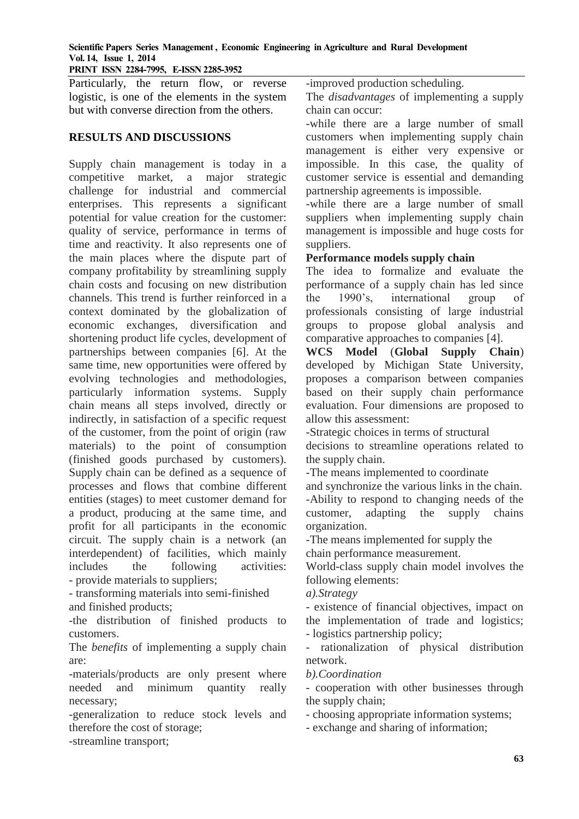#### **Scientific Papers Series Management , Economic Engineering in Agriculture and Rural Development Vol. 14, Issue 1, 2014**

**PRINT ISSN 2284-7995, E-ISSN 2285-3952** 

Particularly, the return flow, or reverse logistic, is one of the elements in the system but with converse direction from the others.

# **RESULTS AND DISCUSSIONS**

Supply chain management is today in a competitive market, a major strategic challenge for industrial and commercial enterprises. This represents a significant potential for value creation for the customer: quality of service, performance in terms of time and reactivity. It also represents one of the main places where the dispute part of company profitability by streamlining supply chain costs and focusing on new distribution channels. This trend is further reinforced in a context dominated by the globalization of economic exchanges, diversification and shortening product life cycles, development of partnerships between companies [6]. At the same time, new opportunities were offered by evolving technologies and methodologies, particularly information systems. Supply chain means all steps involved, directly or indirectly, in satisfaction of a specific request of the customer, from the point of origin (raw materials) to the point of consumption (finished goods purchased by customers). Supply chain can be defined as a sequence of processes and flows that combine different entities (stages) to meet customer demand for a product, producing at the same time, and profit for all participants in the economic circuit. The supply chain is a network (an interdependent) of facilities, which mainly includes the following activities: - provide materials to suppliers;

- transforming materials into semi-finished and finished products;

-the distribution of finished products to customers.

The *benefits* of implementing a supply chain are:

-materials/products are only present where needed and minimum quantity really necessary;

-generalization to reduce stock levels and therefore the cost of storage;

-streamline transport;

-improved production scheduling.

The *disadvantages* of implementing a supply chain can occur:

-while there are a large number of small customers when implementing supply chain management is either very expensive or impossible. In this case, the quality of customer service is essential and demanding partnership agreements is impossible.

-while there are a large number of small suppliers when implementing supply chain management is impossible and huge costs for suppliers.

# **Performance models supply chain**

The idea to formalize and evaluate the performance of a supply chain has led since the 1990's, international group of professionals consisting of large industrial groups to propose global analysis and comparative approaches to companies [4].

**WCS Model** (**Global Supply Chain**) developed by Michigan State University, proposes a comparison between companies based on their supply chain performance evaluation. Four dimensions are proposed to allow this assessment:

-Strategic choices in terms of structural

decisions to streamline operations related to the supply chain.

-The means implemented to coordinate

and synchronize the various links in the chain. -Ability to respond to changing needs of the

customer, adapting the supply chains organization.

-The means implemented for supply the chain performance measurement.

World-class supply chain model involves the following elements:

*a).Strategy*

- existence of financial objectives, impact on the implementation of trade and logistics; - logistics partnership policy;

- rationalization of physical distribution network.

*b).Coordination*

- cooperation with other businesses through the supply chain;

- choosing appropriate information systems;

- exchange and sharing of information;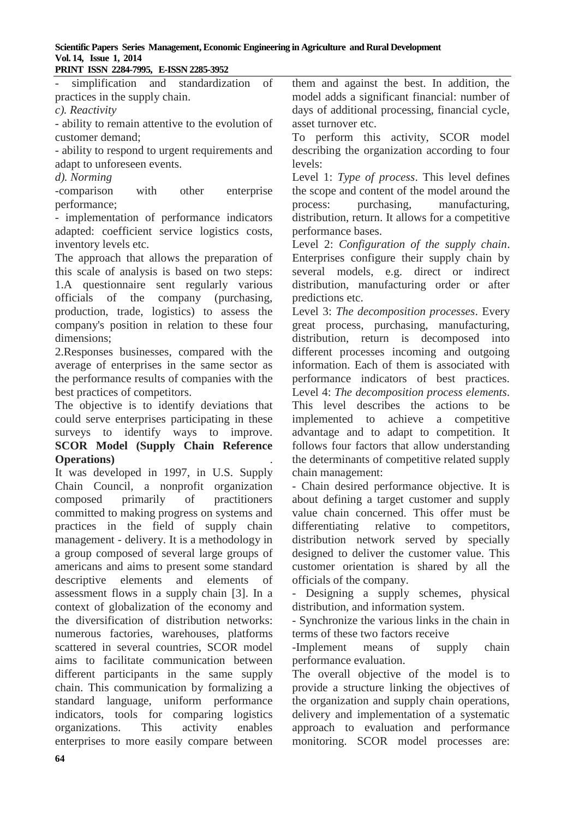# **Scientific Papers Series Management, Economic Engineering in Agriculture and Rural Development Vol. 14, Issue 1, 2014**

| PRINT ISSN 2284-7995, E-ISSN 2285-3952             |                                                   |
|----------------------------------------------------|---------------------------------------------------|
| simplification and standardization of              | them and against the best. In addition, the       |
| practices in the supply chain.                     | model adds a significant financial: number of     |
| $c)$ . Reactivity                                  | days of additional processing, financial cycle,   |
| - ability to remain attentive to the evolution of  | asset turnover etc.                               |
| customer demand;                                   | To perform this activity, SCOR model              |
| - ability to respond to urgent requirements and    | describing the organization according to four     |
| adapt to unforeseen events.                        | levels:                                           |
| d). Norming                                        | Level 1: Type of process. This level defines      |
| -comparison<br>with<br>other<br>enterprise         | the scope and content of the model around the     |
| performance;                                       | purchasing, manufacturing,<br>process:            |
| - implementation of performance indicators         | distribution, return. It allows for a competitive |
| adapted: coefficient service logistics costs,      | performance bases.                                |
| inventory levels etc.                              | Level 2: Configuration of the supply chain.       |
| The approach that allows the preparation of        | Enterprises configure their supply chain by       |
| this scale of analysis is based on two steps:      | several models, e.g. direct or indirect           |
| 1.A questionnaire sent regularly various           | distribution, manufacturing order or after        |
| officials of the<br>company (purchasing,           | predictions etc.                                  |
| production, trade, logistics) to assess the        | Level 3: The decomposition processes. Every       |
| company's position in relation to these four       | great process, purchasing, manufacturing,         |
| dimensions;                                        | distribution, return is decomposed into           |
| 2. Responses businesses, compared with the         | different processes incoming and outgoing         |
| average of enterprises in the same sector as       | information. Each of them is associated with      |
| the performance results of companies with the      | performance indicators of best practices.         |
| best practices of competitors.                     | Level 4: The decomposition process elements.      |
| The objective is to identify deviations that       | This level describes the actions to<br>be         |
| could serve enterprises participating in these     | achieve<br>implemented to<br>a<br>competitive     |
| surveys to identify ways to improve.               | advantage and to adapt to competition. It         |
| <b>SCOR Model (Supply Chain Reference</b>          | follows four factors that allow understanding     |
| <b>Operations</b> )                                | the determinants of competitive related supply    |
| It was developed in 1997, in U.S. Supply           | chain management:                                 |
| Chain Council, a nonprofit organization            | - Chain desired performance objective. It is      |
| composed primarily of practitioners                | about defining a target customer and supply       |
| committed to making progress on systems and        | value chain concerned. This offer must be         |
| practices in the field of supply chain             | differentiating relative to competitors,          |
| management - delivery. It is a methodology in      | distribution network served by specially          |
| a group composed of several large groups of        | designed to deliver the customer value. This      |
| americans and aims to present some standard        | customer orientation is shared by all the         |
| descriptive elements and elements<br><sub>of</sub> | officials of the company.                         |
| assessment flows in a supply chain [3]. In a       | - Designing a supply schemes, physical            |
| context of globalization of the economy and        | distribution, and information system.             |
| the diversification of distribution networks:      | - Synchronize the various links in the chain in   |
| numerous factories, warehouses, platforms          | terms of these two factors receive                |
| scattered in several countries, SCOR model         | -Implement means of supply<br>chain               |
| aims to facilitate communication between           | performance evaluation.                           |
| different participants in the same supply          | The overall objective of the model is to          |
| chain. This communication by formalizing a         | provide a structure linking the objectives of     |

provide a structure linking the objectives of the organization and supply chain operations, delivery and implementation of a systematic approach to evaluation and performance monitoring. SCOR model processes are:

standard language, uniform performance indicators, tools for comparing logistics organizations. This activity enables enterprises to more easily compare between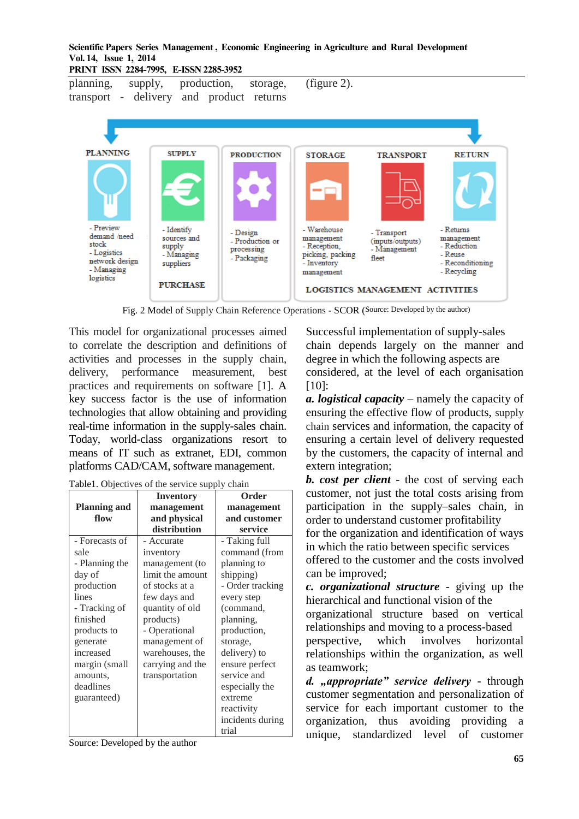#### **Scientific Papers Series Management , Economic Engineering in Agriculture and Rural Development Vol. 14, Issue 1, 2014**

**PRINT ISSN 2284-7995, E-ISSN 2285-3952** 

planning, supply, production, storage, transport - delivery and product returns

**PLANNING SUPPLY RETURN PRODUCTION STORAGE TRANSPORT** - Preview - Identify Warehouse - Returns - Design - Transport demand /need sources and management management - Production or (inputs/outputs) stock - Reception, - Reduction supply - Management processing - Logistics - Managing - Reuse picking, packing - Packaging fleet network design - Reconditioning suppliers - Inventory - Managing management - Recycling logistics PURCHASE. LOGISTICS MANAGEMENT ACTIVITIES

(figure 2).

Fig. 2 Model of Supply Chain Reference Operations - SCOR (Source: Developed by the author)

This model for organizational processes aimed to correlate the description and definitions of activities and processes in the supply chain, delivery, performance measurement, best practices and requirements on software [1]. A key success factor is the use of information technologies that allow obtaining and providing real-time information in the supply-sales chain. Today, world-class organizations resort to means of IT such as extranet, EDI, common platforms CAD/CAM, software management.

|                     | <b>Inventory</b> | Order            |
|---------------------|------------------|------------------|
| <b>Planning and</b> | management       | management       |
| flow                | and physical     | and customer     |
|                     | distribution     | service          |
| - Forecasts of      | - Accurate       | - Taking full    |
| sale                | inventory        | command (from    |
| - Planning the      | management (to   | planning to      |
| day of              | limit the amount | shipping)        |
| production          | of stocks at a   | - Order tracking |
| lines               | few days and     | every step       |
| - Tracking of       | quantity of old  | (command,        |
| finished            | products)        | planning,        |
| products to         | - Operational    | production,      |
| generate            | management of    | storage,         |
| increased           | warehouses, the  | delivery) to     |
| margin (small       | carrying and the | ensure perfect   |
| amounts,            | transportation   | service and      |
| deadlines           |                  | especially the   |
| guaranteed)         |                  | extreme          |
|                     |                  | reactivity       |
|                     |                  | incidents during |
|                     |                  | trial            |

Table1. Objectives of the service supply chain

Source: Developed by the author

Successful implementation of supply-sales chain depends largely on the manner and degree in which the following aspects are considered, at the level of each organisation [10]:

*a. logistical capacity* – namely the capacity of ensuring the effective flow of products, supply chain services and information, the capacity of ensuring a certain level of delivery requested by the customers, the capacity of internal and extern integration;

*b. cost per client* - the cost of serving each customer, not just the total costs arising from participation in the supply–sales chain, in order to understand customer profitability

for the organization and identification of ways in which the ratio between specific services

offered to the customer and the costs involved can be improved;

*c. organizational structure* - giving up the hierarchical and functional vision of the organizational structure based on vertical

relationships and moving to a process-based perspective, which involves horizontal relationships within the organization, as well as teamwork;

*d. "appropriate" service delivery* - through customer segmentation and personalization of service for each important customer to the organization, thus avoiding providing a unique, standardized level of customer